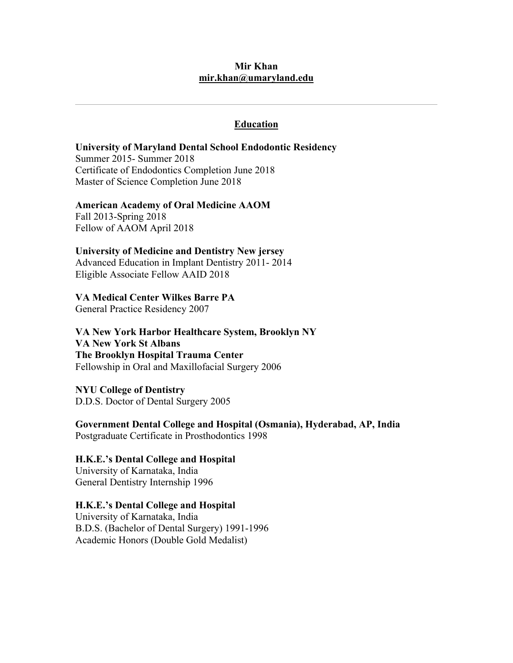## **Mir Khan mir.khan@umaryland.edu**

## **Education**

## **University of Maryland Dental School Endodontic Residency**

Summer 2015- Summer 2018 Certificate of Endodontics Completion June 2018 Master of Science Completion June 2018

### **American Academy of Oral Medicine AAOM**

Fall 2013-Spring 2018 Fellow of AAOM April 2018

### **University of Medicine and Dentistry New jersey**

Advanced Education in Implant Dentistry 2011- 2014 Eligible Associate Fellow AAID 2018

## **VA Medical Center Wilkes Barre PA**

General Practice Residency 2007

**VA New York Harbor Healthcare System, Brooklyn NY VA New York St Albans The Brooklyn Hospital Trauma Center**  Fellowship in Oral and Maxillofacial Surgery 2006

**NYU College of Dentistry**  D.D.S. Doctor of Dental Surgery 2005

**Government Dental College and Hospital (Osmania), Hyderabad, AP, India**  Postgraduate Certificate in Prosthodontics 1998

### **H.K.E.'s Dental College and Hospital**

University of Karnataka, India General Dentistry Internship 1996

## **H.K.E.'s Dental College and Hospital**

University of Karnataka, India B.D.S. (Bachelor of Dental Surgery) 1991-1996 Academic Honors (Double Gold Medalist)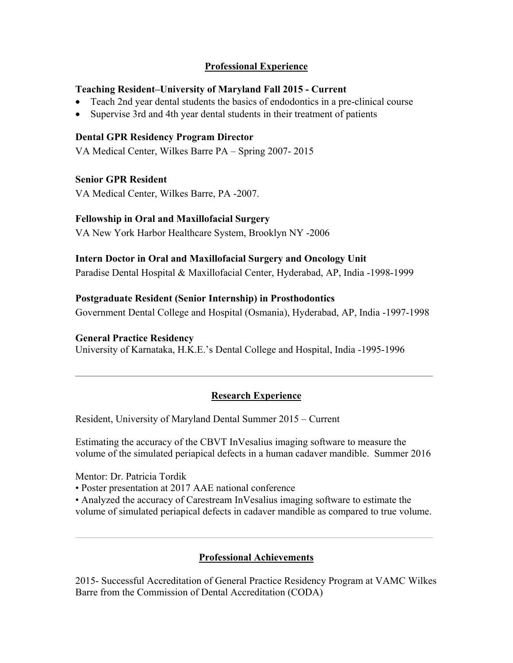# **Professional Experience**

## **Teaching Resident–University of Maryland Fall 2015 - Current**

- Teach 2nd year dental students the basics of endodontics in a pre-clinical course
- Supervise 3rd and 4th year dental students in their treatment of patients

## **Dental GPR Residency Program Director**

VA Medical Center, Wilkes Barre PA – Spring 2007- 2015

## **Senior GPR Resident**

VA Medical Center, Wilkes Barre, PA -2007.

## **Fellowship in Oral and Maxillofacial Surgery**

VA New York Harbor Healthcare System, Brooklyn NY -2006

# **Intern Doctor in Oral and Maxillofacial Surgery and Oncology Unit**

Paradise Dental Hospital & Maxillofacial Center, Hyderabad, AP, India -1998-1999

## **Postgraduate Resident (Senior Internship) in Prosthodontics**

Government Dental College and Hospital (Osmania), Hyderabad, AP, India -1997-1998

## **General Practice Residency**

University of Karnataka, H.K.E.'s Dental College and Hospital, India -1995-1996

# **Research Experience**

Resident, University of Maryland Dental Summer 2015 – Current

Estimating the accuracy of the CBVT InVesalius imaging software to measure the volume of the simulated periapical defects in a human cadaver mandible. Summer 2016

Mentor: Dr. Patricia Tordik

• Poster presentation at 2017 AAE national conference

• Analyzed the accuracy of Carestream InVesalius imaging software to estimate the volume of simulated periapical defects in cadaver mandible as compared to true volume.

# **Professional Achievements**

2015- Successful Accreditation of General Practice Residency Program at VAMC Wilkes Barre from the Commission of Dental Accreditation (CODA)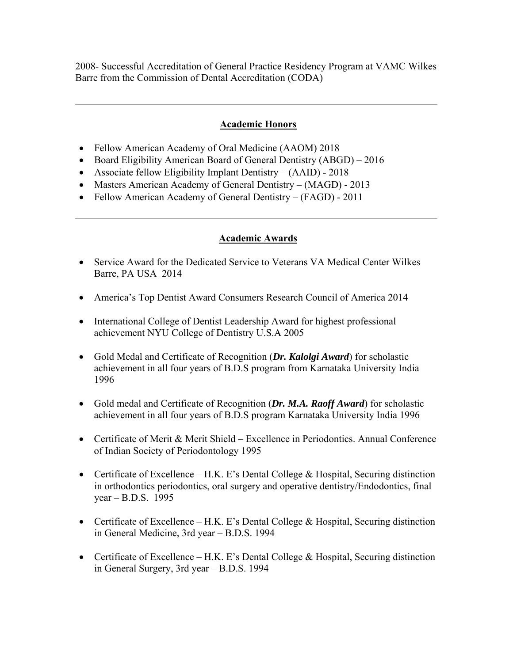2008- Successful Accreditation of General Practice Residency Program at VAMC Wilkes Barre from the Commission of Dental Accreditation (CODA)

# **Academic Honors**

- Fellow American Academy of Oral Medicine (AAOM) 2018
- Board Eligibility American Board of General Dentistry (ABGD) 2016
- Associate fellow Eligibility Implant Dentistry (AAID) 2018
- Masters American Academy of General Dentistry (MAGD) 2013
- Fellow American Academy of General Dentistry (FAGD) 2011

## **Academic Awards**

- Service Award for the Dedicated Service to Veterans VA Medical Center Wilkes Barre, PA USA 2014
- America's Top Dentist Award Consumers Research Council of America 2014
- International College of Dentist Leadership Award for highest professional achievement NYU College of Dentistry U.S.A 2005
- Gold Medal and Certificate of Recognition (*Dr. Kalolgi Award*) for scholastic achievement in all four years of B.D.S program from Karnataka University India 1996
- Gold medal and Certificate of Recognition (*Dr. M.A. Raoff Award*) for scholastic achievement in all four years of B.D.S program Karnataka University India 1996
- Certificate of Merit & Merit Shield Excellence in Periodontics. Annual Conference of Indian Society of Periodontology 1995
- Certificate of Excellence H.K. E's Dental College & Hospital, Securing distinction in orthodontics periodontics, oral surgery and operative dentistry/Endodontics, final year – B.D.S. 1995
- Certificate of Excellence H.K. E's Dental College & Hospital, Securing distinction in General Medicine, 3rd year – B.D.S. 1994
- Certificate of Excellence H.K. E's Dental College & Hospital, Securing distinction in General Surgery, 3rd year – B.D.S. 1994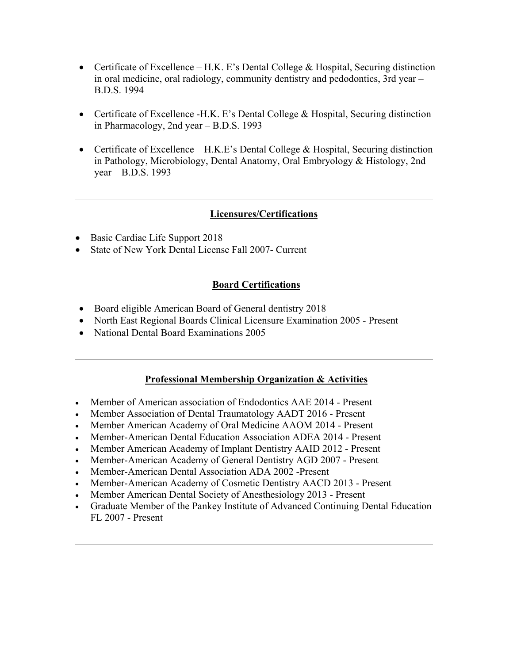- Certificate of Excellence H.K. E's Dental College  $\&$  Hospital, Securing distinction in oral medicine, oral radiology, community dentistry and pedodontics, 3rd year – B.D.S. 1994
- Certificate of Excellence -H.K. E's Dental College & Hospital, Securing distinction in Pharmacology, 2nd year – B.D.S. 1993
- Certificate of Excellence H.K.E's Dental College & Hospital, Securing distinction in Pathology, Microbiology, Dental Anatomy, Oral Embryology & Histology, 2nd year – B.D.S. 1993

# **Licensures/Certifications**

- Basic Cardiac Life Support 2018
- State of New York Dental License Fall 2007- Current

# **Board Certifications**

- Board eligible American Board of General dentistry 2018
- North East Regional Boards Clinical Licensure Examination 2005 Present
- National Dental Board Examinations 2005

# **Professional Membership Organization & Activities**

- Member of American association of Endodontics AAE 2014 Present
- Member Association of Dental Traumatology AADT 2016 Present
- Member American Academy of Oral Medicine AAOM 2014 Present
- Member-American Dental Education Association ADEA 2014 Present
- Member American Academy of Implant Dentistry AAID 2012 Present
- Member-American Academy of General Dentistry AGD 2007 Present
- Member-American Dental Association ADA 2002 -Present
- Member-American Academy of Cosmetic Dentistry AACD 2013 Present
- Member American Dental Society of Anesthesiology 2013 Present
- Graduate Member of the Pankey Institute of Advanced Continuing Dental Education FL 2007 - Present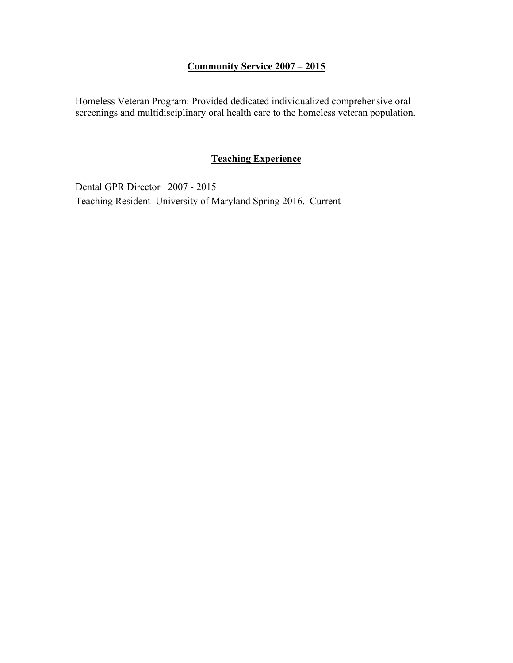# **Community Service 2007 – 2015**

Homeless Veteran Program: Provided dedicated individualized comprehensive oral screenings and multidisciplinary oral health care to the homeless veteran population.

# **Teaching Experience**

Dental GPR Director 2007 - 2015 Teaching Resident–University of Maryland Spring 2016. Current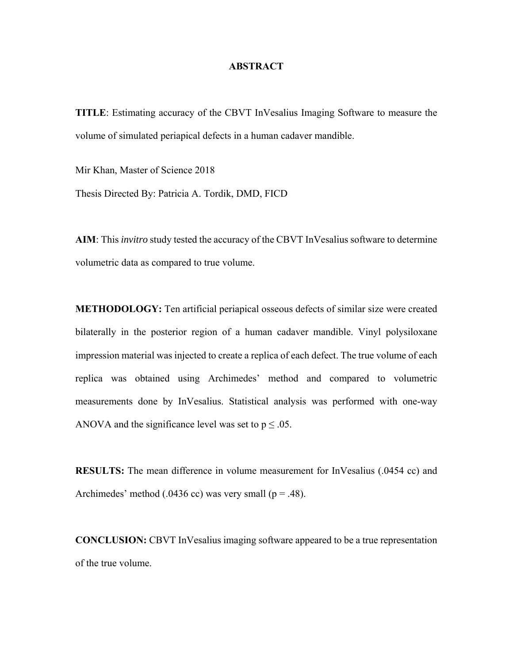### **ABSTRACT**

**TITLE**: Estimating accuracy of the CBVT InVesalius Imaging Software to measure the volume of simulated periapical defects in a human cadaver mandible.

Mir Khan, Master of Science 2018

Thesis Directed By: Patricia A. Tordik, DMD, FICD

**AIM**: This *invitro* study tested the accuracy of the CBVT InVesalius software to determine volumetric data as compared to true volume.

**METHODOLOGY:** Ten artificial periapical osseous defects of similar size were created bilaterally in the posterior region of a human cadaver mandible. Vinyl polysiloxane impression material was injected to create a replica of each defect. The true volume of each replica was obtained using Archimedes' method and compared to volumetric measurements done by InVesalius. Statistical analysis was performed with one-way ANOVA and the significance level was set to  $p \le 0.05$ .

**RESULTS:** The mean difference in volume measurement for InVesalius (.0454 cc) and Archimedes' method (.0436 cc) was very small ( $p = .48$ ).

**CONCLUSION:** CBVT InVesalius imaging software appeared to be a true representation of the true volume.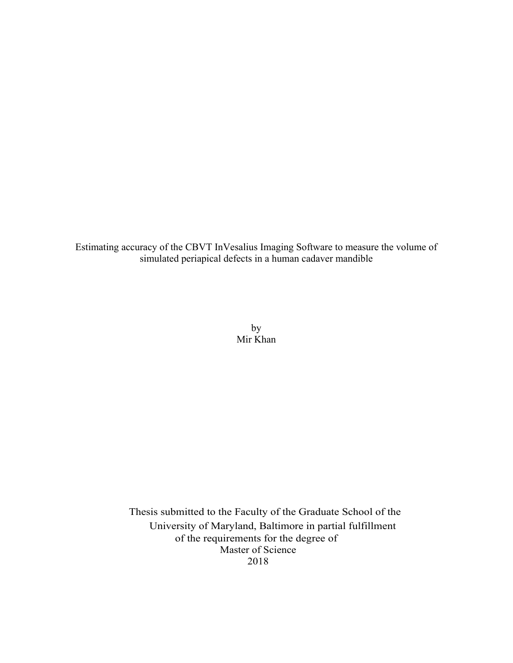Estimating accuracy of the CBVT InVesalius Imaging Software to measure the volume of simulated periapical defects in a human cadaver mandible

> by Mir Khan

 Thesis submitted to the Faculty of the Graduate School of the University of Maryland, Baltimore in partial fulfillment of the requirements for the degree of Master of Science 2018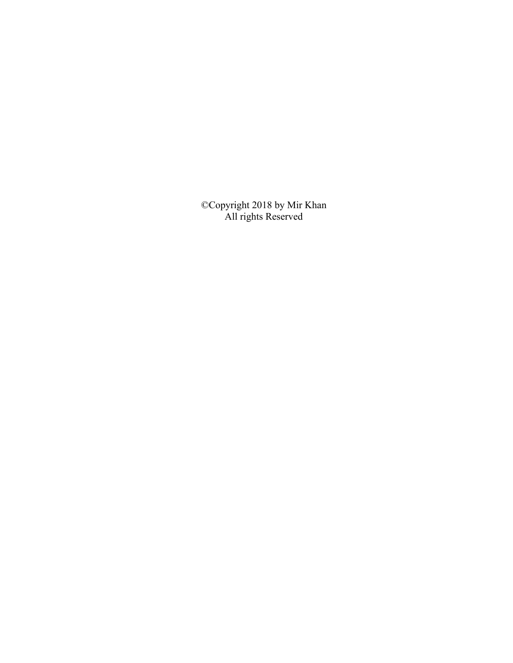©Copyright 2018 by Mir Khan All rights Reserved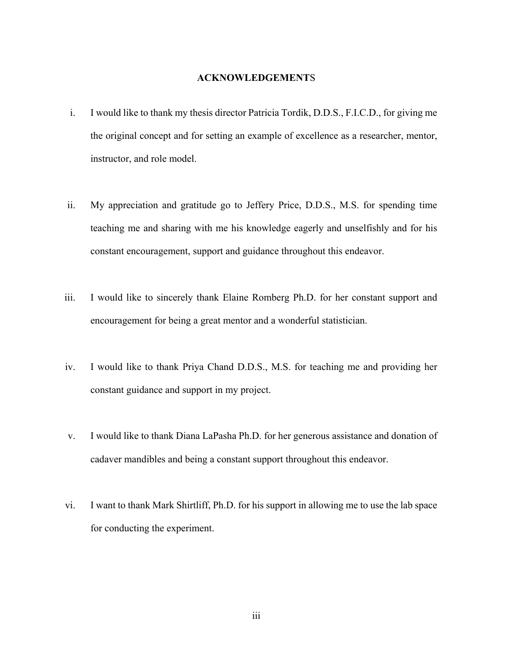### **ACKNOWLEDGEMENT**S

- i. I would like to thank my thesis director Patricia Tordik, D.D.S., F.I.C.D., for giving me the original concept and for setting an example of excellence as a researcher, mentor, instructor, and role model.
- ii. My appreciation and gratitude go to Jeffery Price, D.D.S., M.S. for spending time teaching me and sharing with me his knowledge eagerly and unselfishly and for his constant encouragement, support and guidance throughout this endeavor.
- iii. I would like to sincerely thank Elaine Romberg Ph.D. for her constant support and encouragement for being a great mentor and a wonderful statistician.
- iv. I would like to thank Priya Chand D.D.S., M.S. for teaching me and providing her constant guidance and support in my project.
- v. I would like to thank Diana LaPasha Ph.D. for her generous assistance and donation of cadaver mandibles and being a constant support throughout this endeavor.
- vi. I want to thank Mark Shirtliff, Ph.D. for his support in allowing me to use the lab space for conducting the experiment.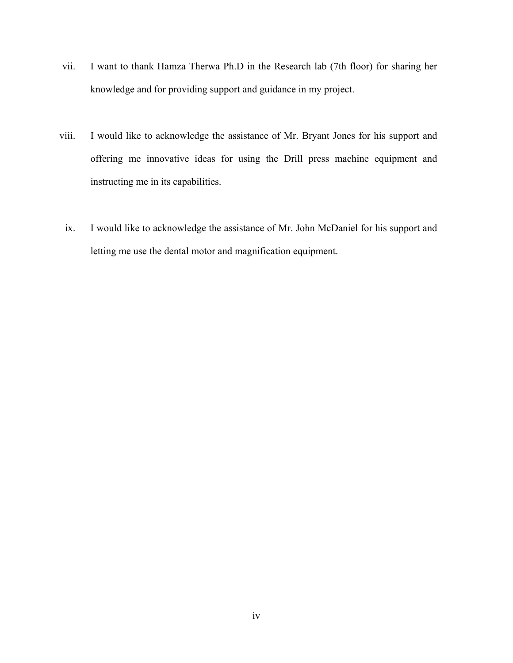- vii. I want to thank Hamza Therwa Ph.D in the Research lab (7th floor) for sharing her knowledge and for providing support and guidance in my project.
- viii. I would like to acknowledge the assistance of Mr. Bryant Jones for his support and offering me innovative ideas for using the Drill press machine equipment and instructing me in its capabilities.
	- ix. I would like to acknowledge the assistance of Mr. John McDaniel for his support and letting me use the dental motor and magnification equipment.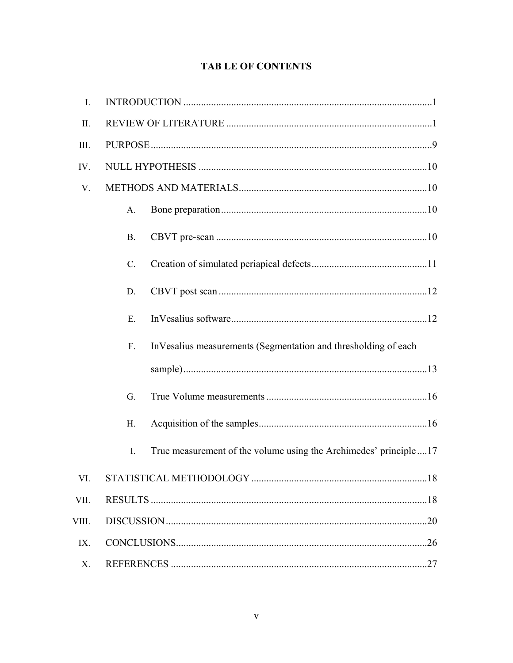# **TAB LE OF CONTENTS**

| I.    |                 |                                                                  |
|-------|-----------------|------------------------------------------------------------------|
| II.   |                 |                                                                  |
| III.  |                 |                                                                  |
| IV.   |                 |                                                                  |
| V.    |                 |                                                                  |
|       | A.              |                                                                  |
|       | <b>B.</b>       |                                                                  |
|       | $\mathcal{C}$ . |                                                                  |
|       | D.              |                                                                  |
|       | Ε.              |                                                                  |
|       | F <sub>r</sub>  | InVesalius measurements (Segmentation and thresholding of each   |
|       |                 |                                                                  |
|       | G.              |                                                                  |
|       | H.              |                                                                  |
|       | $\mathbf{I}$ .  | True measurement of the volume using the Archimedes' principle17 |
| VI.   |                 |                                                                  |
| VII.  |                 |                                                                  |
| VIII. |                 |                                                                  |
| IX.   |                 |                                                                  |
| X.    |                 |                                                                  |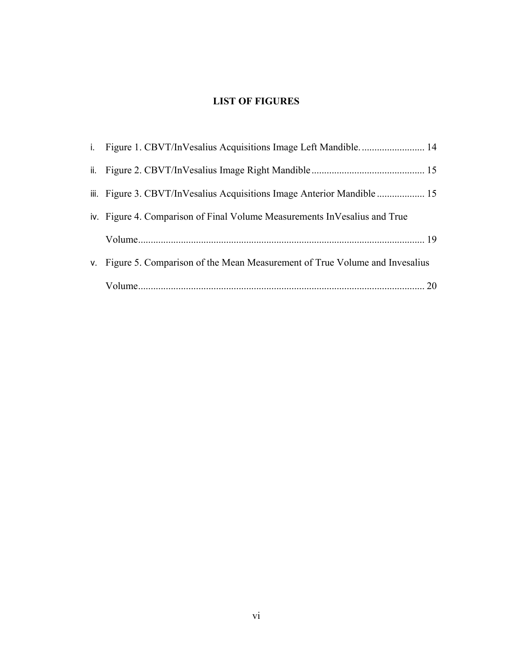# **LIST OF FIGURES**

| i. Figure 1. CBVT/InVesalius Acquisitions Image Left Mandible 14              |
|-------------------------------------------------------------------------------|
|                                                                               |
| iii. Figure 3. CBVT/InVesalius Acquisitions Image Anterior Mandible  15       |
| iv. Figure 4. Comparison of Final Volume Measurements In Vesalius and True    |
|                                                                               |
| v. Figure 5. Comparison of the Mean Measurement of True Volume and Invesalius |
|                                                                               |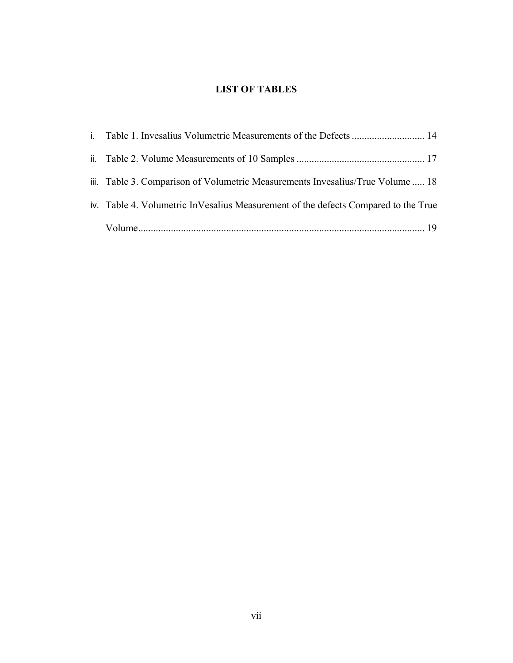# **LIST OF TABLES**

| iii. Table 3. Comparison of Volumetric Measurements Invesalius/True Volume  18     |  |
|------------------------------------------------------------------------------------|--|
| iv. Table 4. Volumetric InVesalius Measurement of the defects Compared to the True |  |
|                                                                                    |  |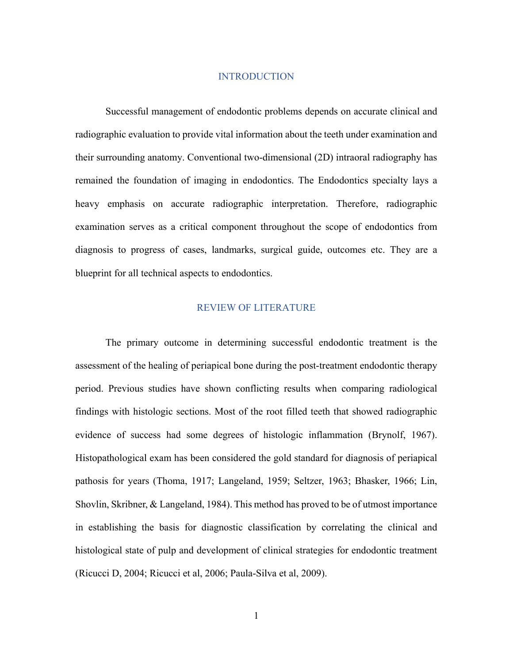### INTRODUCTION

Successful management of endodontic problems depends on accurate clinical and radiographic evaluation to provide vital information about the teeth under examination and their surrounding anatomy. Conventional two-dimensional (2D) intraoral radiography has remained the foundation of imaging in endodontics. The Endodontics specialty lays a heavy emphasis on accurate radiographic interpretation. Therefore, radiographic examination serves as a critical component throughout the scope of endodontics from diagnosis to progress of cases, landmarks, surgical guide, outcomes etc. They are a blueprint for all technical aspects to endodontics.

#### REVIEW OF LITERATURE

The primary outcome in determining successful endodontic treatment is the assessment of the healing of periapical bone during the post-treatment endodontic therapy period. Previous studies have shown conflicting results when comparing radiological findings with histologic sections. Most of the root filled teeth that showed radiographic evidence of success had some degrees of histologic inflammation (Brynolf, 1967). Histopathological exam has been considered the gold standard for diagnosis of periapical pathosis for years (Thoma, 1917; Langeland, 1959; Seltzer, 1963; Bhasker, 1966; Lin, Shovlin, Skribner, & Langeland, 1984). This method has proved to be of utmost importance in establishing the basis for diagnostic classification by correlating the clinical and histological state of pulp and development of clinical strategies for endodontic treatment (Ricucci D, 2004; Ricucci et al, 2006; Paula-Silva et al, 2009).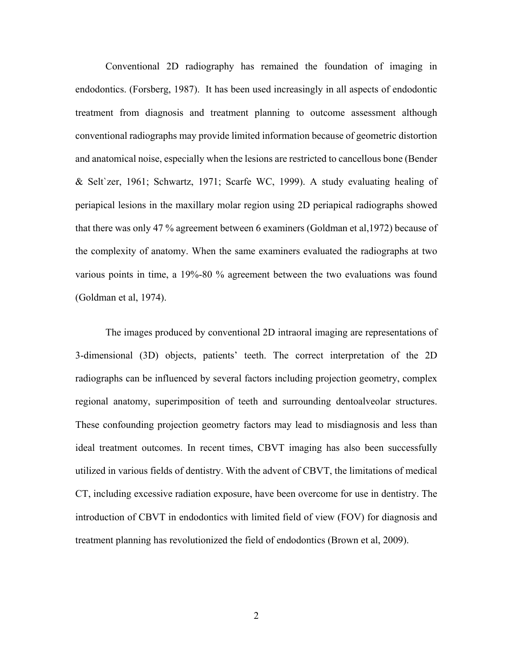Conventional 2D radiography has remained the foundation of imaging in endodontics. (Forsberg, 1987). It has been used increasingly in all aspects of endodontic treatment from diagnosis and treatment planning to outcome assessment although conventional radiographs may provide limited information because of geometric distortion and anatomical noise, especially when the lesions are restricted to cancellous bone (Bender & Selt`zer, 1961; Schwartz, 1971; Scarfe WC, 1999). A study evaluating healing of periapical lesions in the maxillary molar region using 2D periapical radiographs showed that there was only 47 % agreement between 6 examiners (Goldman et al,1972) because of the complexity of anatomy. When the same examiners evaluated the radiographs at two various points in time, a 19%-80 % agreement between the two evaluations was found (Goldman et al, 1974).

The images produced by conventional 2D intraoral imaging are representations of 3-dimensional (3D) objects, patients' teeth. The correct interpretation of the 2D radiographs can be influenced by several factors including projection geometry, complex regional anatomy, superimposition of teeth and surrounding dentoalveolar structures. These confounding projection geometry factors may lead to misdiagnosis and less than ideal treatment outcomes. In recent times, CBVT imaging has also been successfully utilized in various fields of dentistry. With the advent of CBVT, the limitations of medical CT, including excessive radiation exposure, have been overcome for use in dentistry. The introduction of CBVT in endodontics with limited field of view (FOV) for diagnosis and treatment planning has revolutionized the field of endodontics (Brown et al, 2009).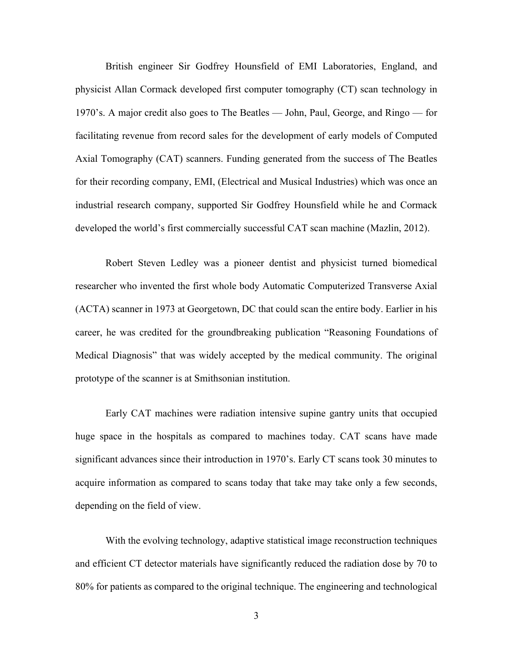British engineer Sir Godfrey Hounsfield of EMI Laboratories, England, and physicist Allan Cormack developed first computer tomography (CT) scan technology in 1970's. A major credit also goes to The Beatles — John, Paul, George, and Ringo — for facilitating revenue from record sales for the development of early models of Computed Axial Tomography (CAT) scanners. Funding generated from the success of The Beatles for their recording company, EMI, (Electrical and Musical Industries) which was once an industrial research company, supported Sir Godfrey Hounsfield while he and Cormack developed the world's first commercially successful CAT scan machine (Mazlin, 2012).

Robert Steven Ledley was a pioneer dentist and physicist turned biomedical researcher who invented the first whole body Automatic Computerized Transverse Axial (ACTA) scanner in 1973 at Georgetown, DC that could scan the entire body. Earlier in his career, he was credited for the groundbreaking publication "Reasoning Foundations of Medical Diagnosis" that was widely accepted by the medical community. The original prototype of the scanner is at Smithsonian institution.

Early CAT machines were radiation intensive supine gantry units that occupied huge space in the hospitals as compared to machines today. CAT scans have made significant advances since their introduction in 1970's. Early CT scans took 30 minutes to acquire information as compared to scans today that take may take only a few seconds, depending on the field of view.

With the evolving technology, adaptive statistical image reconstruction techniques and efficient CT detector materials have significantly reduced the radiation dose by 70 to 80% for patients as compared to the original technique. The engineering and technological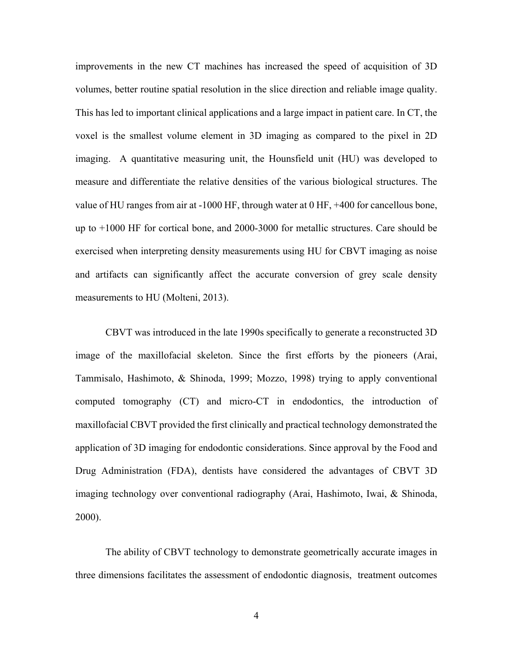improvements in the new CT machines has increased the speed of acquisition of 3D volumes, better routine spatial resolution in the slice direction and reliable image quality. This has led to important clinical applications and a large impact in patient care. In CT, the voxel is the smallest volume element in 3D imaging as compared to the pixel in 2D imaging. A quantitative measuring unit, the Hounsfield unit (HU) was developed to measure and differentiate the relative densities of the various biological structures. The value of HU ranges from air at -1000 HF, through water at 0 HF, +400 for cancellous bone, up to +1000 HF for cortical bone, and 2000-3000 for metallic structures. Care should be exercised when interpreting density measurements using HU for CBVT imaging as noise and artifacts can significantly affect the accurate conversion of grey scale density measurements to HU (Molteni, 2013).

CBVT was introduced in the late 1990s specifically to generate a reconstructed 3D image of the maxillofacial skeleton. Since the first efforts by the pioneers (Arai, Tammisalo, Hashimoto, & Shinoda, 1999; Mozzo, 1998) trying to apply conventional computed tomography (CT) and micro-CT in endodontics, the introduction of maxillofacial CBVT provided the first clinically and practical technology demonstrated the application of 3D imaging for endodontic considerations. Since approval by the Food and Drug Administration (FDA), dentists have considered the advantages of CBVT 3D imaging technology over conventional radiography (Arai, Hashimoto, Iwai, & Shinoda, 2000).

The ability of CBVT technology to demonstrate geometrically accurate images in three dimensions facilitates the assessment of endodontic diagnosis, treatment outcomes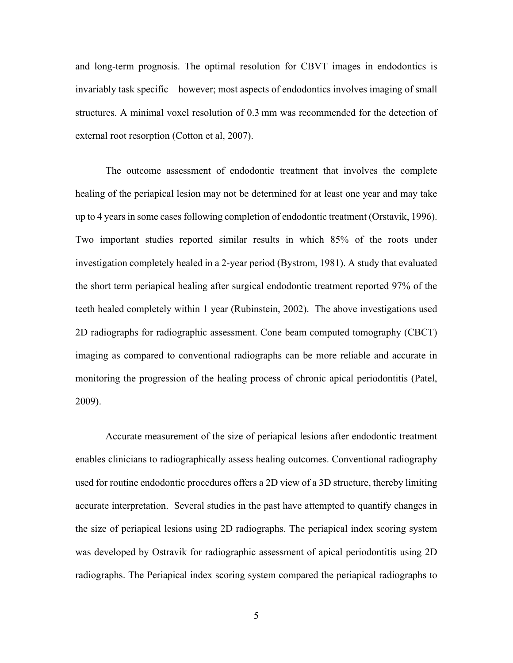and long-term prognosis. The optimal resolution for CBVT images in endodontics is invariably task specific—however; most aspects of endodontics involves imaging of small structures. A minimal voxel resolution of 0.3 mm was recommended for the detection of external root resorption (Cotton et al, 2007).

The outcome assessment of endodontic treatment that involves the complete healing of the periapical lesion may not be determined for at least one year and may take up to 4 years in some cases following completion of endodontic treatment (Orstavik, 1996). Two important studies reported similar results in which 85% of the roots under investigation completely healed in a 2-year period (Bystrom, 1981). A study that evaluated the short term periapical healing after surgical endodontic treatment reported 97% of the teeth healed completely within 1 year (Rubinstein, 2002). The above investigations used 2D radiographs for radiographic assessment. Cone beam computed tomography (CBCT) imaging as compared to conventional radiographs can be more reliable and accurate in monitoring the progression of the healing process of chronic apical periodontitis (Patel, 2009).

Accurate measurement of the size of periapical lesions after endodontic treatment enables clinicians to radiographically assess healing outcomes. Conventional radiography used for routine endodontic procedures offers a 2D view of a 3D structure, thereby limiting accurate interpretation. Several studies in the past have attempted to quantify changes in the size of periapical lesions using 2D radiographs. The periapical index scoring system was developed by Ostravik for radiographic assessment of apical periodontitis using 2D radiographs. The Periapical index scoring system compared the periapical radiographs to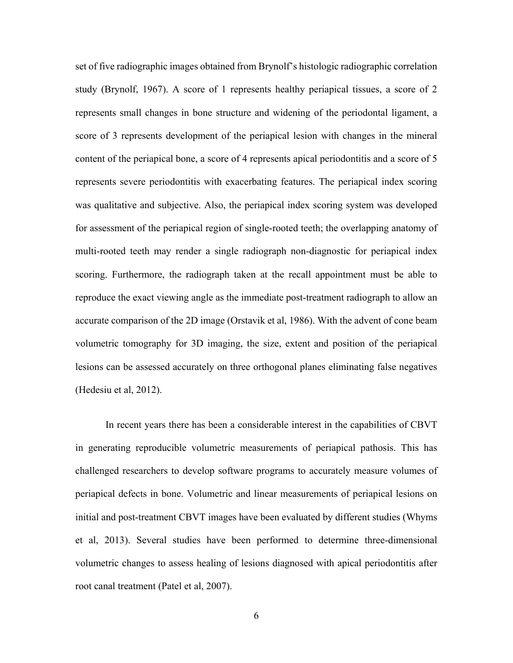set of five radiographic images obtained from Brynolf's histologic radiographic correlation study (Brynolf, 1967). A score of 1 represents healthy periapical tissues, a score of 2 represents small changes in bone structure and widening of the periodontal ligament, a score of 3 represents development of the periapical lesion with changes in the mineral content of the periapical bone, a score of 4 represents apical periodontitis and a score of 5 represents severe periodontitis with exacerbating features. The periapical index scoring was qualitative and subjective. Also, the periapical index scoring system was developed for assessment of the periapical region of single-rooted teeth; the overlapping anatomy of multi-rooted teeth may render a single radiograph non-diagnostic for periapical index scoring. Furthermore, the radiograph taken at the recall appointment must be able to reproduce the exact viewing angle as the immediate post-treatment radiograph to allow an accurate comparison of the 2D image (Orstavik et al, 1986). With the advent of cone beam volumetric tomography for 3D imaging, the size, extent and position of the periapical lesions can be assessed accurately on three orthogonal planes eliminating false negatives (Hedesiu et al, 2012).

In recent years there has been a considerable interest in the capabilities of CBVT in generating reproducible volumetric measurements of periapical pathosis. This has challenged researchers to develop software programs to accurately measure volumes of periapical defects in bone. Volumetric and linear measurements of periapical lesions on initial and post-treatment CBVT images have been evaluated by different studies (Whyms et al, 2013). Several studies have been performed to determine three-dimensional volumetric changes to assess healing of lesions diagnosed with apical periodontitis after root canal treatment (Patel et al, 2007).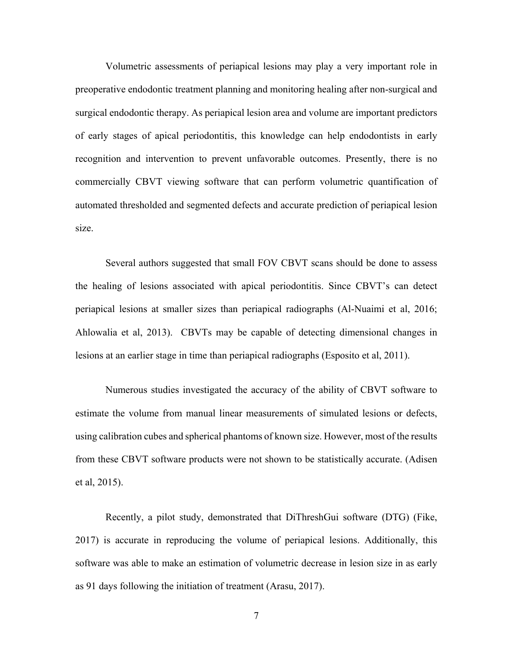Volumetric assessments of periapical lesions may play a very important role in preoperative endodontic treatment planning and monitoring healing after non-surgical and surgical endodontic therapy. As periapical lesion area and volume are important predictors of early stages of apical periodontitis, this knowledge can help endodontists in early recognition and intervention to prevent unfavorable outcomes. Presently, there is no commercially CBVT viewing software that can perform volumetric quantification of automated thresholded and segmented defects and accurate prediction of periapical lesion size.

Several authors suggested that small FOV CBVT scans should be done to assess the healing of lesions associated with apical periodontitis. Since CBVT's can detect periapical lesions at smaller sizes than periapical radiographs (Al-Nuaimi et al, 2016; Ahlowalia et al, 2013). CBVTs may be capable of detecting dimensional changes in lesions at an earlier stage in time than periapical radiographs (Esposito et al, 2011).

Numerous studies investigated the accuracy of the ability of CBVT software to estimate the volume from manual linear measurements of simulated lesions or defects, using calibration cubes and spherical phantoms of known size. However, most of the results from these CBVT software products were not shown to be statistically accurate. (Adisen et al, 2015).

Recently, a pilot study, demonstrated that DiThreshGui software (DTG) (Fike, 2017) is accurate in reproducing the volume of periapical lesions. Additionally, this software was able to make an estimation of volumetric decrease in lesion size in as early as 91 days following the initiation of treatment (Arasu, 2017).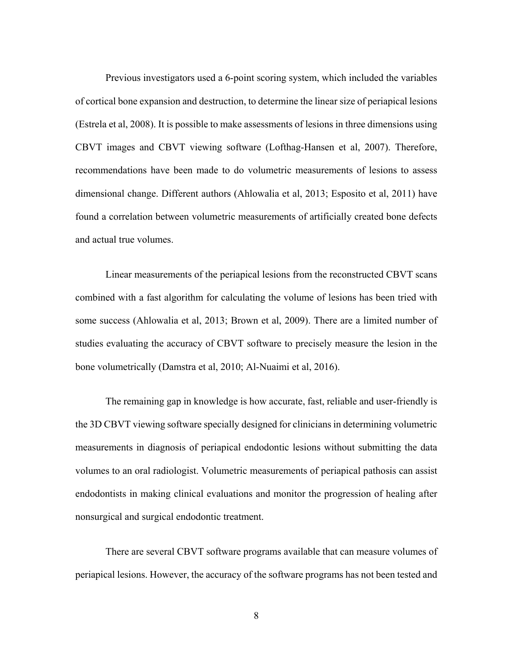Previous investigators used a 6-point scoring system, which included the variables of cortical bone expansion and destruction, to determine the linear size of periapical lesions (Estrela et al, 2008). It is possible to make assessments of lesions in three dimensions using CBVT images and CBVT viewing software (Lofthag-Hansen et al, 2007). Therefore, recommendations have been made to do volumetric measurements of lesions to assess dimensional change. Different authors (Ahlowalia et al, 2013; Esposito et al, 2011) have found a correlation between volumetric measurements of artificially created bone defects and actual true volumes.

Linear measurements of the periapical lesions from the reconstructed CBVT scans combined with a fast algorithm for calculating the volume of lesions has been tried with some success (Ahlowalia et al, 2013; Brown et al, 2009). There are a limited number of studies evaluating the accuracy of CBVT software to precisely measure the lesion in the bone volumetrically (Damstra et al, 2010; Al-Nuaimi et al, 2016).

The remaining gap in knowledge is how accurate, fast, reliable and user-friendly is the 3D CBVT viewing software specially designed for clinicians in determining volumetric measurements in diagnosis of periapical endodontic lesions without submitting the data volumes to an oral radiologist. Volumetric measurements of periapical pathosis can assist endodontists in making clinical evaluations and monitor the progression of healing after nonsurgical and surgical endodontic treatment.

There are several CBVT software programs available that can measure volumes of periapical lesions. However, the accuracy of the software programs has not been tested and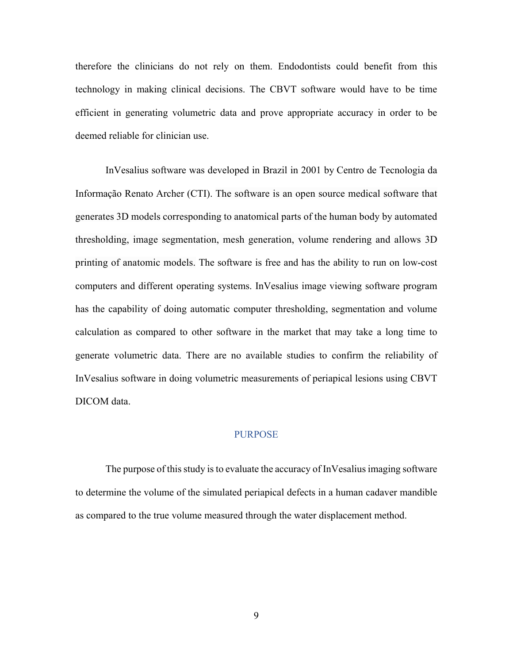therefore the clinicians do not rely on them. Endodontists could benefit from this technology in making clinical decisions. The CBVT software would have to be time efficient in generating volumetric data and prove appropriate accuracy in order to be deemed reliable for clinician use.

InVesalius software was developed in Brazil in 2001 by Centro de Tecnologia da Informação Renato Archer (CTI). The software is an open source medical software that generates 3D models corresponding to anatomical parts of the human body by automated thresholding, image segmentation, mesh generation, volume rendering and allows 3D printing of anatomic models. The software is free and has the ability to run on low-cost computers and different operating systems. InVesalius image viewing software program has the capability of doing automatic computer thresholding, segmentation and volume calculation as compared to other software in the market that may take a long time to generate volumetric data. There are no available studies to confirm the reliability of InVesalius software in doing volumetric measurements of periapical lesions using CBVT DICOM data.

### PURPOSE

The purpose of this study is to evaluate the accuracy of InVesalius imaging software to determine the volume of the simulated periapical defects in a human cadaver mandible as compared to the true volume measured through the water displacement method.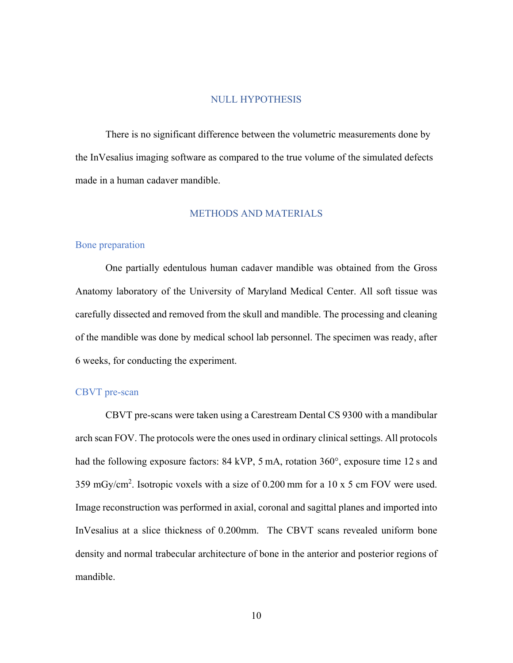#### NULL HYPOTHESIS

 There is no significant difference between the volumetric measurements done by the InVesalius imaging software as compared to the true volume of the simulated defects made in a human cadaver mandible.

### METHODS AND MATERIALS

#### Bone preparation

 One partially edentulous human cadaver mandible was obtained from the Gross Anatomy laboratory of the University of Maryland Medical Center. All soft tissue was carefully dissected and removed from the skull and mandible. The processing and cleaning of the mandible was done by medical school lab personnel. The specimen was ready, after 6 weeks, for conducting the experiment.

### CBVT pre-scan

 CBVT pre-scans were taken using a Carestream Dental CS 9300 with a mandibular arch scan FOV. The protocols were the ones used in ordinary clinical settings. All protocols had the following exposure factors: 84 kVP, 5 mA, rotation 360°, exposure time 12 s and 359 mGy/cm<sup>2</sup>. Isotropic voxels with a size of 0.200 mm for a 10 x 5 cm FOV were used. Image reconstruction was performed in axial, coronal and sagittal planes and imported into InVesalius at a slice thickness of 0.200mm. The CBVT scans revealed uniform bone density and normal trabecular architecture of bone in the anterior and posterior regions of mandible.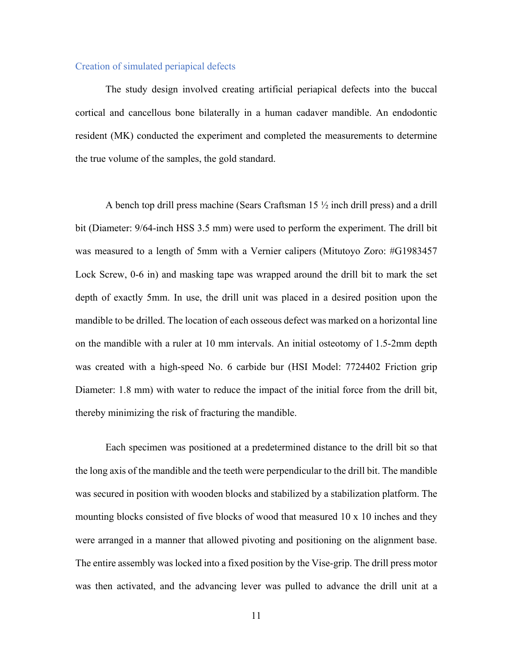#### Creation of simulated periapical defects

The study design involved creating artificial periapical defects into the buccal cortical and cancellous bone bilaterally in a human cadaver mandible. An endodontic resident (MK) conducted the experiment and completed the measurements to determine the true volume of the samples, the gold standard.

A bench top drill press machine (Sears Craftsman 15 ½ inch drill press) and a drill bit (Diameter: 9/64-inch HSS 3.5 mm) were used to perform the experiment. The drill bit was measured to a length of 5mm with a Vernier calipers (Mitutoyo Zoro: #G1983457 Lock Screw, 0-6 in) and masking tape was wrapped around the drill bit to mark the set depth of exactly 5mm. In use, the drill unit was placed in a desired position upon the mandible to be drilled. The location of each osseous defect was marked on a horizontal line on the mandible with a ruler at 10 mm intervals. An initial osteotomy of 1.5-2mm depth was created with a high-speed No. 6 carbide bur (HSI Model: 7724402 Friction grip Diameter: 1.8 mm) with water to reduce the impact of the initial force from the drill bit, thereby minimizing the risk of fracturing the mandible.

Each specimen was positioned at a predetermined distance to the drill bit so that the long axis of the mandible and the teeth were perpendicular to the drill bit. The mandible was secured in position with wooden blocks and stabilized by a stabilization platform. The mounting blocks consisted of five blocks of wood that measured 10 x 10 inches and they were arranged in a manner that allowed pivoting and positioning on the alignment base. The entire assembly was locked into a fixed position by the Vise-grip. The drill press motor was then activated, and the advancing lever was pulled to advance the drill unit at a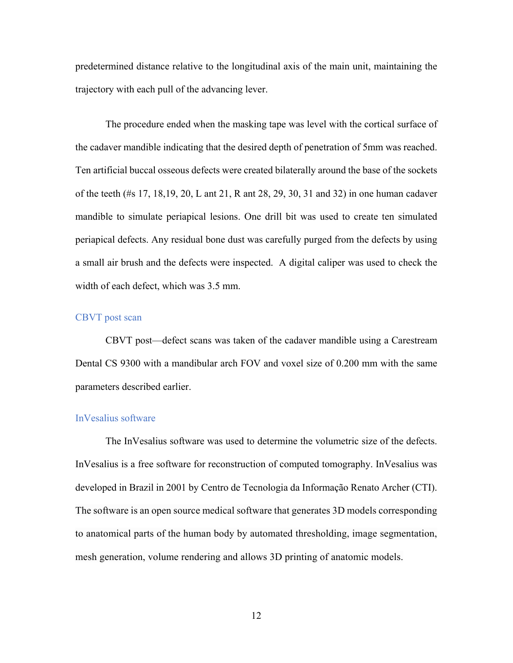predetermined distance relative to the longitudinal axis of the main unit, maintaining the trajectory with each pull of the advancing lever.

The procedure ended when the masking tape was level with the cortical surface of the cadaver mandible indicating that the desired depth of penetration of 5mm was reached. Ten artificial buccal osseous defects were created bilaterally around the base of the sockets of the teeth (#s 17, 18,19, 20, L ant 21, R ant 28, 29, 30, 31 and 32) in one human cadaver mandible to simulate periapical lesions. One drill bit was used to create ten simulated periapical defects. Any residual bone dust was carefully purged from the defects by using a small air brush and the defects were inspected. A digital caliper was used to check the width of each defect, which was 3.5 mm.

### CBVT post scan

CBVT post—defect scans was taken of the cadaver mandible using a Carestream Dental CS 9300 with a mandibular arch FOV and voxel size of 0.200 mm with the same parameters described earlier.

### InVesalius software

The InVesalius software was used to determine the volumetric size of the defects. InVesalius is a free software for reconstruction of computed tomography. InVesalius was developed in Brazil in 2001 by Centro de Tecnologia da Informação Renato Archer (CTI). The software is an open source medical software that generates 3D models corresponding to anatomical parts of the human body by automated thresholding, image segmentation, mesh generation, volume rendering and allows 3D printing of anatomic models.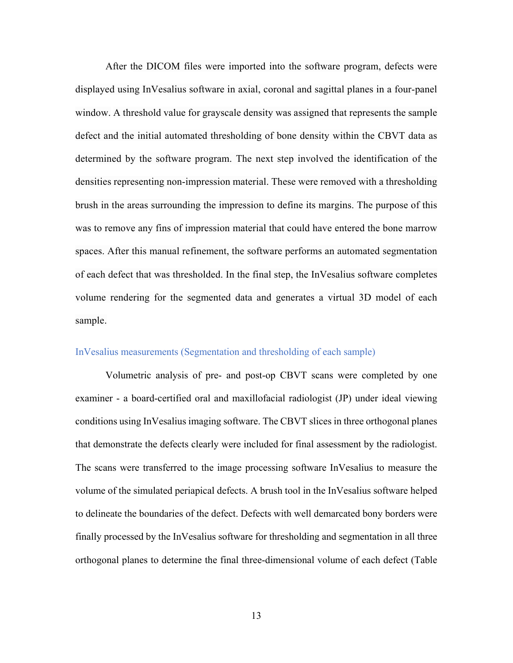After the DICOM files were imported into the software program, defects were displayed using InVesalius software in axial, coronal and sagittal planes in a four-panel window. A threshold value for grayscale density was assigned that represents the sample defect and the initial automated thresholding of bone density within the CBVT data as determined by the software program. The next step involved the identification of the densities representing non-impression material. These were removed with a thresholding brush in the areas surrounding the impression to define its margins. The purpose of this was to remove any fins of impression material that could have entered the bone marrow spaces. After this manual refinement, the software performs an automated segmentation of each defect that was thresholded. In the final step, the InVesalius software completes volume rendering for the segmented data and generates a virtual 3D model of each sample.

### InVesalius measurements (Segmentation and thresholding of each sample)

Volumetric analysis of pre- and post-op CBVT scans were completed by one examiner - a board-certified oral and maxillofacial radiologist (JP) under ideal viewing conditions using InVesalius imaging software. The CBVT slices in three orthogonal planes that demonstrate the defects clearly were included for final assessment by the radiologist. The scans were transferred to the image processing software InVesalius to measure the volume of the simulated periapical defects. A brush tool in the InVesalius software helped to delineate the boundaries of the defect. Defects with well demarcated bony borders were finally processed by the InVesalius software for thresholding and segmentation in all three orthogonal planes to determine the final three-dimensional volume of each defect (Table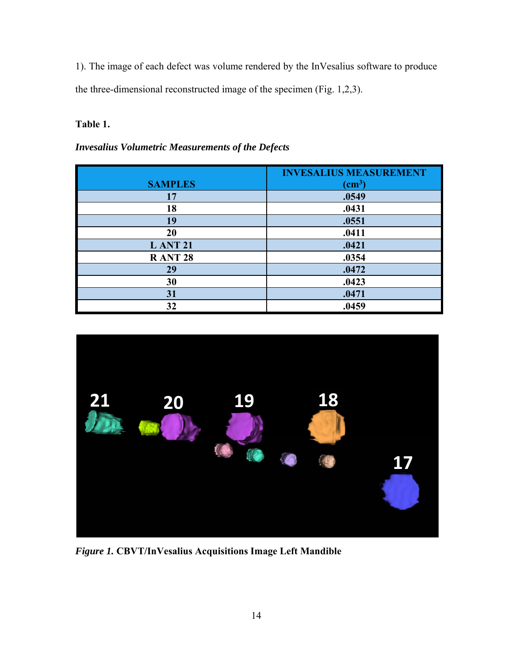1). The image of each defect was volume rendered by the InVesalius software to produce the three-dimensional reconstructed image of the specimen (Fig. 1,2,3).

# **Table 1.**

*Invesalius Volumetric Measurements of the Defects* 

|                | <b>INVESALIUS MEASUREMENT</b> |
|----------------|-------------------------------|
| <b>SAMPLES</b> | $\text{(cm}^3)$               |
| 17             | .0549                         |
| 18             | .0431                         |
| 19             | .0551                         |
| 20             | .0411                         |
| <b>LANT 21</b> | .0421                         |
| <b>RANT 28</b> | .0354                         |
| 29             | .0472                         |
| 30             | .0423                         |
| 31             | .0471                         |
| 32             | .0459                         |



*Figure 1.* **CBVT/InVesalius Acquisitions Image Left Mandible**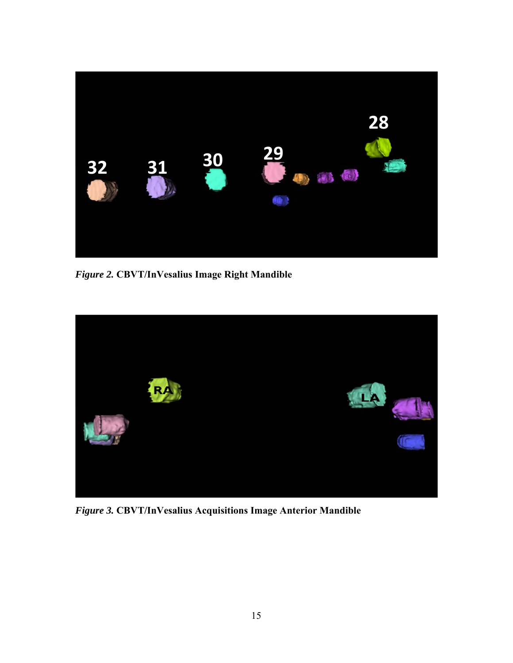

*Figure 2.* **CBVT/InVesalius Image Right Mandible**



*Figure 3.* **CBVT/InVesalius Acquisitions Image Anterior Mandible**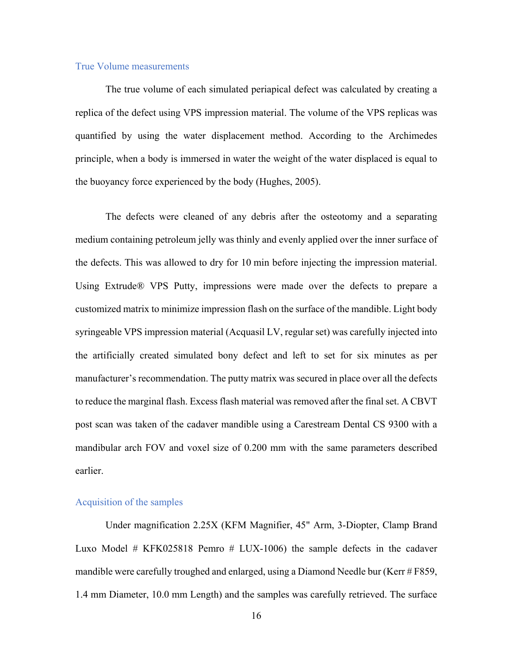### True Volume measurements

The true volume of each simulated periapical defect was calculated by creating a replica of the defect using VPS impression material. The volume of the VPS replicas was quantified by using the water displacement method. According to the Archimedes principle, when a body is immersed in water the weight of the water displaced is equal to the buoyancy force experienced by the body (Hughes, 2005).

The defects were cleaned of any debris after the osteotomy and a separating medium containing petroleum jelly was thinly and evenly applied over the inner surface of the defects. This was allowed to dry for 10 min before injecting the impression material. Using Extrude® VPS Putty, impressions were made over the defects to prepare a customized matrix to minimize impression flash on the surface of the mandible. Light body syringeable VPS impression material (Acquasil LV, regular set) was carefully injected into the artificially created simulated bony defect and left to set for six minutes as per manufacturer's recommendation. The putty matrix was secured in place over all the defects to reduce the marginal flash. Excess flash material was removed after the final set. A CBVT post scan was taken of the cadaver mandible using a Carestream Dental CS 9300 with a mandibular arch FOV and voxel size of 0.200 mm with the same parameters described earlier.

### Acquisition of the samples

Under magnification 2.25X (KFM Magnifier, 45" Arm, 3-Diopter, Clamp Brand Luxo Model # KFK025818 Pemro # LUX-1006) the sample defects in the cadaver mandible were carefully troughed and enlarged, using a Diamond Needle bur (Kerr # F859, 1.4 mm Diameter, 10.0 mm Length) and the samples was carefully retrieved. The surface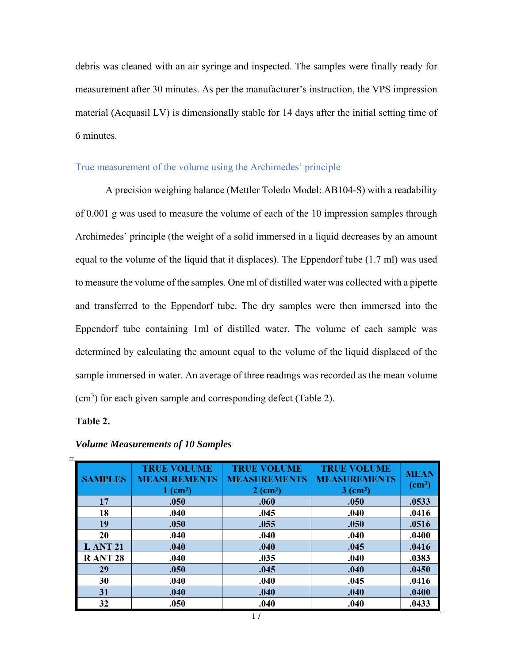debris was cleaned with an air syringe and inspected. The samples were finally ready for measurement after 30 minutes. As per the manufacturer's instruction, the VPS impression material (Acquasil LV) is dimensionally stable for 14 days after the initial setting time of 6 minutes.

## True measurement of the volume using the Archimedes' principle

A precision weighing balance (Mettler Toledo Model: AB104-S) with a readability of 0.001 g was used to measure the volume of each of the 10 impression samples through Archimedes' principle (the weight of a solid immersed in a liquid decreases by an amount equal to the volume of the liquid that it displaces). The Eppendorf tube (1.7 ml) was used to measure the volume of the samples. One ml of distilled water was collected with a pipette and transferred to the Eppendorf tube. The dry samples were then immersed into the Eppendorf tube containing 1ml of distilled water. The volume of each sample was determined by calculating the amount equal to the volume of the liquid displaced of the sample immersed in water. An average of three readings was recorded as the mean volume (cm<sup>3</sup>) for each given sample and corresponding defect (Table 2).

### **Table 2.**

| <b>SAMPLES</b> | <b>TRUE VOLUME</b><br><b>MEASUREMENTS</b><br>$1$ (cm <sup>3</sup> ) | <b>TRUE VOLUME</b><br><b>MEASUREMENTS</b><br>$2$ (cm <sup>3</sup> ) | <b>TRUE VOLUME</b><br><b>MEASUREMENTS</b><br>$3 \text{ (cm}^3)$ | <b>MEAN</b><br>$\text{(cm}^3)$ |
|----------------|---------------------------------------------------------------------|---------------------------------------------------------------------|-----------------------------------------------------------------|--------------------------------|
| 17             | .050                                                                | .060                                                                | .050                                                            | .0533                          |
| 18             | .040                                                                | .045                                                                | .040                                                            | .0416                          |
| 19             | .050                                                                | .055                                                                | .050                                                            | .0516                          |
| 20             | .040                                                                | .040                                                                | .040                                                            | .0400                          |
| <b>LANT 21</b> | .040                                                                | .040                                                                | .045                                                            | .0416                          |
| <b>RANT 28</b> | .040                                                                | .035                                                                | .040                                                            | .0383                          |
| 29             | .050                                                                | .045                                                                | .040                                                            | .0450                          |
| 30             | .040                                                                | .040                                                                | .045                                                            | .0416                          |
| 31             | .040                                                                | .040                                                                | .040                                                            | .0400                          |
| 32             | .050                                                                | .040                                                                | .040                                                            | .0433                          |

*Volume Measurements of 10 Samples*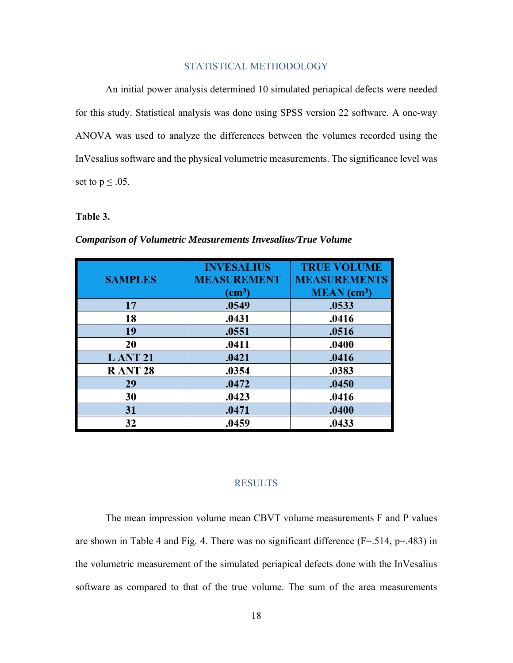### STATISTICAL METHODOLOGY

An initial power analysis determined 10 simulated periapical defects were needed for this study. Statistical analysis was done using SPSS version 22 software. A one-way ANOVA was used to analyze the differences between the volumes recorded using the InVesalius software and the physical volumetric measurements. The significance level was set to  $p \leq .05$ .

### **Table 3.**

| <b>SAMPLES</b> | <b>INVESALIUS</b><br><b>MEASUREMENT</b><br>$\text{(cm}^3)$ | <b>TRUE VOLUME</b><br><b>MEASUREMENTS</b><br>$MEAN$ (cm <sup>3</sup> ) |
|----------------|------------------------------------------------------------|------------------------------------------------------------------------|
| 17             | .0549                                                      | .0533                                                                  |
| 18             | .0431                                                      | .0416                                                                  |
| 19             | .0551                                                      | .0516                                                                  |
| 20             | .0411                                                      | .0400                                                                  |
| <b>LANT 21</b> | .0421                                                      | .0416                                                                  |
| <b>RANT 28</b> | .0354                                                      | .0383                                                                  |
| 29             | .0472                                                      | .0450                                                                  |
| 30             | .0423                                                      | .0416                                                                  |
| 31             | .0471                                                      | .0400                                                                  |
| 32             | .0459                                                      | .0433                                                                  |

### *Comparison of Volumetric Measurements Invesalius/True Volume*

### RESULTS

The mean impression volume mean CBVT volume measurements F and P values are shown in Table 4 and Fig. 4. There was no significant difference  $(F=.514, p=.483)$  in the volumetric measurement of the simulated periapical defects done with the InVesalius software as compared to that of the true volume. The sum of the area measurements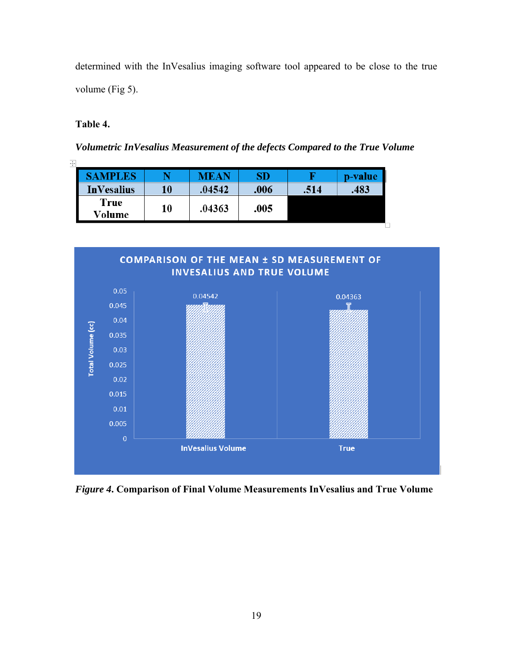determined with the InVesalius imaging software tool appeared to be close to the true volume (Fig 5).

# **Table 4.**

*Volumetric InVesalius Measurement of the defects Compared to the True Volume* 

| <b>SAMPLES</b>    |    | <b>MEAN</b> | SD   |      | p-value |
|-------------------|----|-------------|------|------|---------|
| <b>InVesalius</b> | 10 | .04542      | .006 | .514 | .483    |
| True<br>Volume    | 10 | .04363      | .005 |      |         |
|                   |    |             |      |      |         |



*Figure 4***. Comparison of Final Volume Measurements InVesalius and True Volume**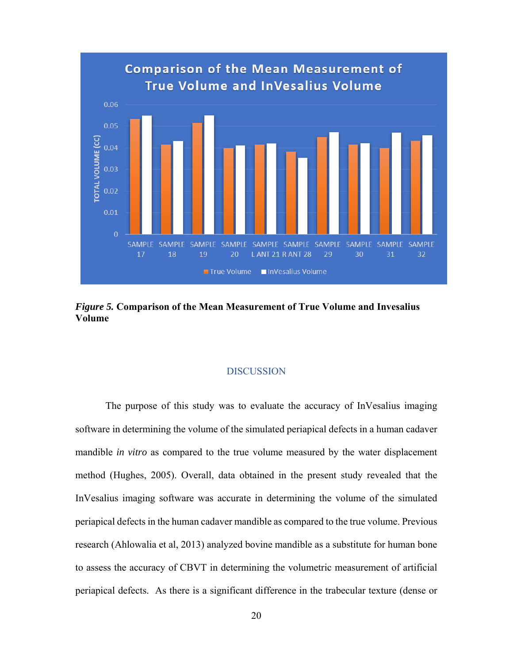

*Figure 5.* **Comparison of the Mean Measurement of True Volume and Invesalius Volume** 

### DISCUSSION

The purpose of this study was to evaluate the accuracy of InVesalius imaging software in determining the volume of the simulated periapical defects in a human cadaver mandible *in vitro* as compared to the true volume measured by the water displacement method (Hughes, 2005). Overall, data obtained in the present study revealed that the InVesalius imaging software was accurate in determining the volume of the simulated periapical defects in the human cadaver mandible as compared to the true volume. Previous research (Ahlowalia et al, 2013) analyzed bovine mandible as a substitute for human bone to assess the accuracy of CBVT in determining the volumetric measurement of artificial periapical defects. As there is a significant difference in the trabecular texture (dense or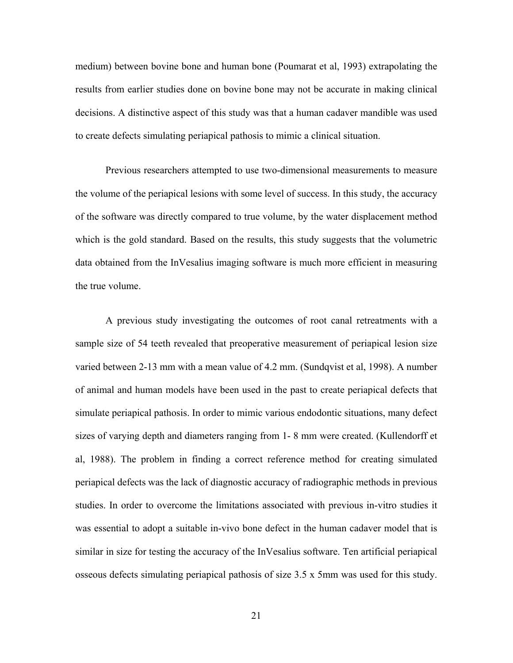medium) between bovine bone and human bone (Poumarat et al, 1993) extrapolating the results from earlier studies done on bovine bone may not be accurate in making clinical decisions. A distinctive aspect of this study was that a human cadaver mandible was used to create defects simulating periapical pathosis to mimic a clinical situation.

Previous researchers attempted to use two-dimensional measurements to measure the volume of the periapical lesions with some level of success. In this study, the accuracy of the software was directly compared to true volume, by the water displacement method which is the gold standard. Based on the results, this study suggests that the volumetric data obtained from the InVesalius imaging software is much more efficient in measuring the true volume.

A previous study investigating the outcomes of root canal retreatments with a sample size of 54 teeth revealed that preoperative measurement of periapical lesion size varied between 2-13 mm with a mean value of 4.2 mm. (Sundqvist et al, 1998). A number of animal and human models have been used in the past to create periapical defects that simulate periapical pathosis. In order to mimic various endodontic situations, many defect sizes of varying depth and diameters ranging from 1- 8 mm were created. (Kullendorff et al, 1988). The problem in finding a correct reference method for creating simulated periapical defects was the lack of diagnostic accuracy of radiographic methods in previous studies. In order to overcome the limitations associated with previous in-vitro studies it was essential to adopt a suitable in-vivo bone defect in the human cadaver model that is similar in size for testing the accuracy of the InVesalius software. Ten artificial periapical osseous defects simulating periapical pathosis of size 3.5 x 5mm was used for this study.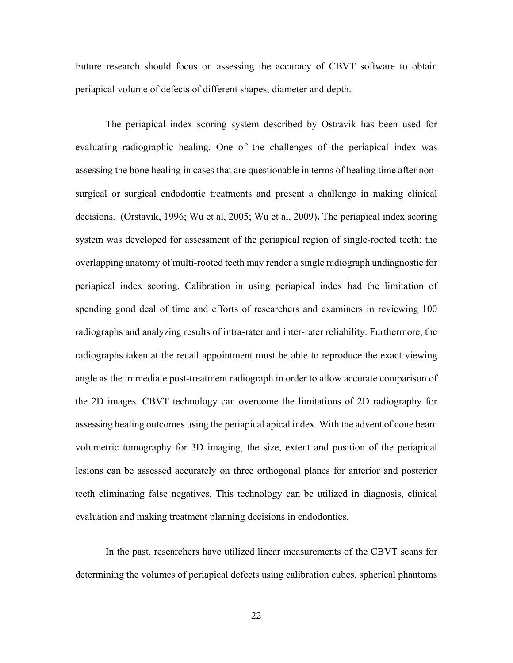Future research should focus on assessing the accuracy of CBVT software to obtain periapical volume of defects of different shapes, diameter and depth.

The periapical index scoring system described by Ostravik has been used for evaluating radiographic healing. One of the challenges of the periapical index was assessing the bone healing in cases that are questionable in terms of healing time after nonsurgical or surgical endodontic treatments and present a challenge in making clinical decisions. (Orstavik, 1996; Wu et al, 2005; Wu et al, 2009)**.** The periapical index scoring system was developed for assessment of the periapical region of single-rooted teeth; the overlapping anatomy of multi-rooted teeth may render a single radiograph undiagnostic for periapical index scoring. Calibration in using periapical index had the limitation of spending good deal of time and efforts of researchers and examiners in reviewing 100 radiographs and analyzing results of intra-rater and inter-rater reliability. Furthermore, the radiographs taken at the recall appointment must be able to reproduce the exact viewing angle as the immediate post-treatment radiograph in order to allow accurate comparison of the 2D images. CBVT technology can overcome the limitations of 2D radiography for assessing healing outcomes using the periapical apical index. With the advent of cone beam volumetric tomography for 3D imaging, the size, extent and position of the periapical lesions can be assessed accurately on three orthogonal planes for anterior and posterior teeth eliminating false negatives. This technology can be utilized in diagnosis, clinical evaluation and making treatment planning decisions in endodontics.

In the past, researchers have utilized linear measurements of the CBVT scans for determining the volumes of periapical defects using calibration cubes, spherical phantoms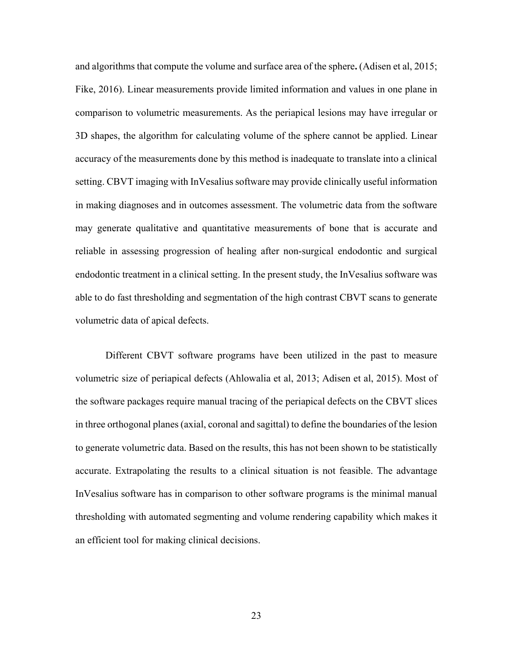and algorithms that compute the volume and surface area of the sphere**.** (Adisen et al, 2015; Fike, 2016). Linear measurements provide limited information and values in one plane in comparison to volumetric measurements. As the periapical lesions may have irregular or 3D shapes, the algorithm for calculating volume of the sphere cannot be applied. Linear accuracy of the measurements done by this method is inadequate to translate into a clinical setting. CBVT imaging with InVesalius software may provide clinically useful information in making diagnoses and in outcomes assessment. The volumetric data from the software may generate qualitative and quantitative measurements of bone that is accurate and reliable in assessing progression of healing after non-surgical endodontic and surgical endodontic treatment in a clinical setting. In the present study, the InVesalius software was able to do fast thresholding and segmentation of the high contrast CBVT scans to generate volumetric data of apical defects.

Different CBVT software programs have been utilized in the past to measure volumetric size of periapical defects (Ahlowalia et al, 2013; Adisen et al, 2015). Most of the software packages require manual tracing of the periapical defects on the CBVT slices in three orthogonal planes (axial, coronal and sagittal) to define the boundaries of the lesion to generate volumetric data. Based on the results, this has not been shown to be statistically accurate. Extrapolating the results to a clinical situation is not feasible. The advantage InVesalius software has in comparison to other software programs is the minimal manual thresholding with automated segmenting and volume rendering capability which makes it an efficient tool for making clinical decisions.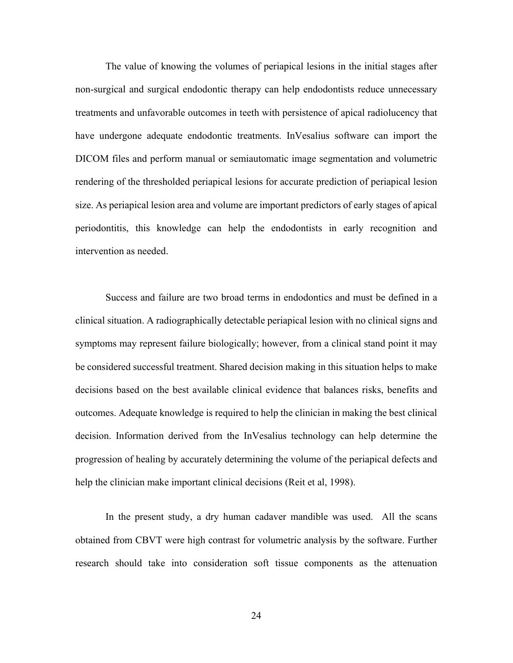The value of knowing the volumes of periapical lesions in the initial stages after non-surgical and surgical endodontic therapy can help endodontists reduce unnecessary treatments and unfavorable outcomes in teeth with persistence of apical radiolucency that have undergone adequate endodontic treatments. InVesalius software can import the DICOM files and perform manual or semiautomatic image segmentation and volumetric rendering of the thresholded periapical lesions for accurate prediction of periapical lesion size. As periapical lesion area and volume are important predictors of early stages of apical periodontitis, this knowledge can help the endodontists in early recognition and intervention as needed.

Success and failure are two broad terms in endodontics and must be defined in a clinical situation. A radiographically detectable periapical lesion with no clinical signs and symptoms may represent failure biologically; however, from a clinical stand point it may be considered successful treatment. Shared decision making in this situation helps to make decisions based on the best available clinical evidence that balances risks, benefits and outcomes. Adequate knowledge is required to help the clinician in making the best clinical decision. Information derived from the InVesalius technology can help determine the progression of healing by accurately determining the volume of the periapical defects and help the clinician make important clinical decisions (Reit et al, 1998).

In the present study, a dry human cadaver mandible was used. All the scans obtained from CBVT were high contrast for volumetric analysis by the software. Further research should take into consideration soft tissue components as the attenuation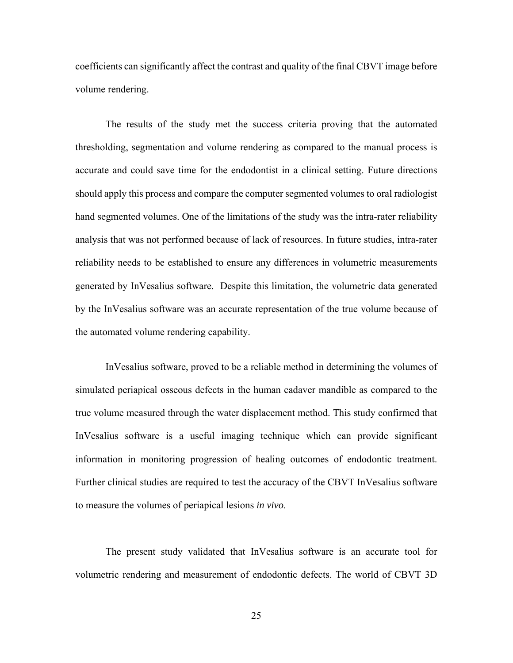coefficients can significantly affect the contrast and quality of the final CBVT image before volume rendering.

The results of the study met the success criteria proving that the automated thresholding, segmentation and volume rendering as compared to the manual process is accurate and could save time for the endodontist in a clinical setting. Future directions should apply this process and compare the computer segmented volumes to oral radiologist hand segmented volumes. One of the limitations of the study was the intra-rater reliability analysis that was not performed because of lack of resources. In future studies, intra-rater reliability needs to be established to ensure any differences in volumetric measurements generated by InVesalius software. Despite this limitation, the volumetric data generated by the InVesalius software was an accurate representation of the true volume because of the automated volume rendering capability.

InVesalius software, proved to be a reliable method in determining the volumes of simulated periapical osseous defects in the human cadaver mandible as compared to the true volume measured through the water displacement method. This study confirmed that InVesalius software is a useful imaging technique which can provide significant information in monitoring progression of healing outcomes of endodontic treatment. Further clinical studies are required to test the accuracy of the CBVT InVesalius software to measure the volumes of periapical lesions *in vivo*.

The present study validated that InVesalius software is an accurate tool for volumetric rendering and measurement of endodontic defects. The world of CBVT 3D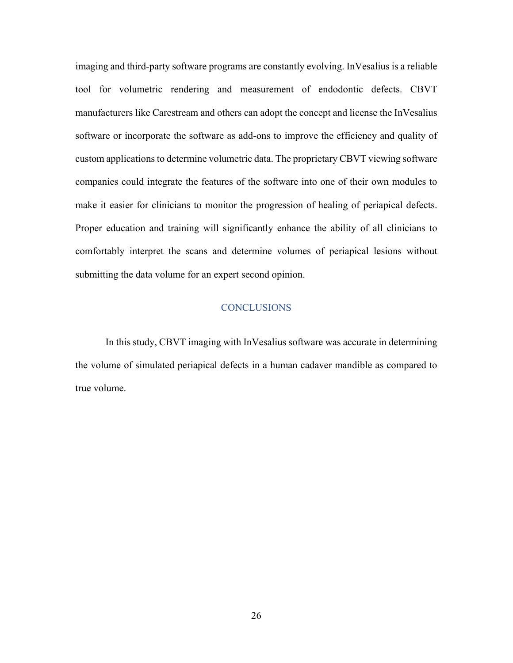imaging and third-party software programs are constantly evolving. InVesalius is a reliable tool for volumetric rendering and measurement of endodontic defects. CBVT manufacturers like Carestream and others can adopt the concept and license the InVesalius software or incorporate the software as add-ons to improve the efficiency and quality of custom applications to determine volumetric data. The proprietary CBVT viewing software companies could integrate the features of the software into one of their own modules to make it easier for clinicians to monitor the progression of healing of periapical defects. Proper education and training will significantly enhance the ability of all clinicians to comfortably interpret the scans and determine volumes of periapical lesions without submitting the data volume for an expert second opinion.

### **CONCLUSIONS**

In this study, CBVT imaging with InVesalius software was accurate in determining the volume of simulated periapical defects in a human cadaver mandible as compared to true volume.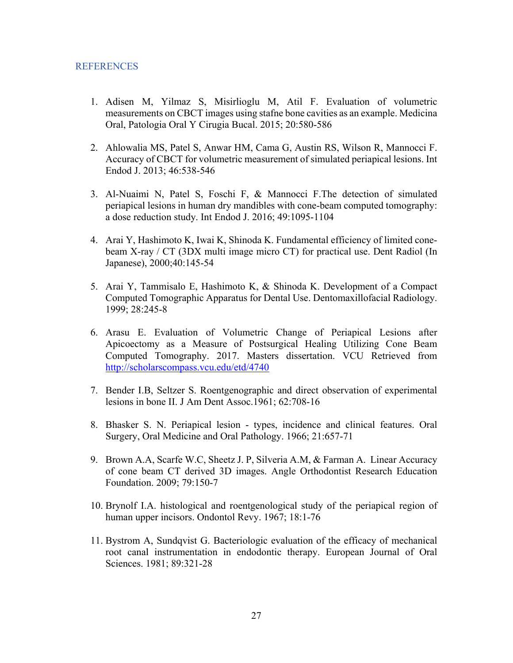### **REFERENCES**

- 1. Adisen M, Yilmaz S, Misirlioglu M, Atil F. Evaluation of volumetric measurements on CBCT images using stafne bone cavities as an example. Medicina Oral, Patologia Oral Y Cirugia Bucal. 2015; 20:580-586
- 2. Ahlowalia MS, Patel S, Anwar HM, Cama G, Austin RS, Wilson R, Mannocci F. Accuracy of CBCT for volumetric measurement of simulated periapical lesions. Int Endod J. 2013; 46:538-546
- 3. Al-Nuaimi N, Patel S, Foschi F, & Mannocci F.The detection of simulated periapical lesions in human dry mandibles with cone-beam computed tomography: a dose reduction study. Int Endod J. 2016; 49:1095-1104
- 4. Arai Y, Hashimoto K, Iwai K, Shinoda K. Fundamental efficiency of limited conebeam X-ray / CT (3DX multi image micro CT) for practical use. Dent Radiol (In Japanese), 2000;40:145-54
- 5. Arai Y, Tammisalo E, Hashimoto K, & Shinoda K. Development of a Compact Computed Tomographic Apparatus for Dental Use. Dentomaxillofacial Radiology. 1999; 28:245-8
- 6. Arasu E. Evaluation of Volumetric Change of Periapical Lesions after Apicoectomy as a Measure of Postsurgical Healing Utilizing Cone Beam Computed Tomography. 2017. Masters dissertation. VCU Retrieved from http://scholarscompass.vcu.edu/etd/4740
- 7. Bender I.B, Seltzer S. Roentgenographic and direct observation of experimental lesions in bone II. J Am Dent Assoc.1961; 62:708-16
- 8. Bhasker S. N. Periapical lesion types, incidence and clinical features. Oral Surgery, Oral Medicine and Oral Pathology. 1966; 21:657-71
- 9. Brown A.A, Scarfe W.C, Sheetz J. P, Silveria A.M, & Farman A. Linear Accuracy of cone beam CT derived 3D images. Angle Orthodontist Research Education Foundation. 2009; 79:150-7
- 10. Brynolf I.A. histological and roentgenological study of the periapical region of human upper incisors. Ondontol Revy. 1967; 18:1-76
- 11. Bystrom A, Sundqvist G. Bacteriologic evaluation of the efficacy of mechanical root canal instrumentation in endodontic therapy. European Journal of Oral Sciences. 1981; 89:321-28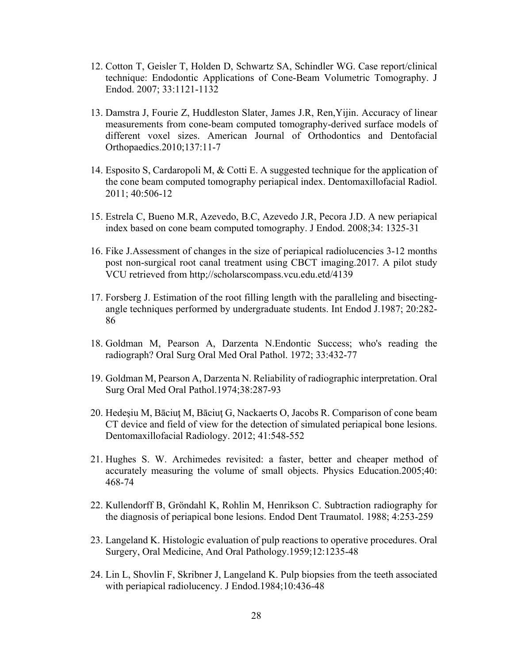- 12. Cotton T, Geisler T, Holden D, Schwartz SA, Schindler WG. Case report/clinical technique: Endodontic Applications of Cone-Beam Volumetric Tomography. J Endod. 2007; 33:1121-1132
- 13. Damstra J, Fourie Z, Huddleston Slater, James J.R, Ren,Yijin. Accuracy of linear measurements from cone-beam computed tomography-derived surface models of different voxel sizes. American Journal of Orthodontics and Dentofacial Orthopaedics.2010;137:11-7
- 14. Esposito S, Cardaropoli M, & Cotti E. A suggested technique for the application of the cone beam computed tomography periapical index. Dentomaxillofacial Radiol. 2011; 40:506-12
- 15. Estrela C, Bueno M.R, Azevedo, B.C, Azevedo J.R, Pecora J.D. A new periapical index based on cone beam computed tomography. J Endod. 2008;34: 1325-31
- 16. Fike J.Assessment of changes in the size of periapical radiolucencies 3-12 months post non-surgical root canal treatment using CBCT imaging.2017. A pilot study VCU retrieved from http;//scholarscompass.vcu.edu.etd/4139
- 17. Forsberg J. Estimation of the root filling length with the paralleling and bisectingangle techniques performed by undergraduate students. Int Endod J.1987; 20:282- 86
- 18. Goldman M, Pearson A, Darzenta N.Endontic Success; who's reading the radiograph? Oral Surg Oral Med Oral Pathol. 1972; 33:432-77
- 19. Goldman M, Pearson A, Darzenta N. Reliability of radiographic interpretation. Oral Surg Oral Med Oral Pathol.1974;38:287-93
- 20. Hedeşiu M, Bāciuţ M, Bāciuţ G, Nackaerts O, Jacobs R. Comparison of cone beam CT device and field of view for the detection of simulated periapical bone lesions. Dentomaxillofacial Radiology. 2012; 41:548-552
- 21. Hughes S. W. Archimedes revisited: a faster, better and cheaper method of accurately measuring the volume of small objects. Physics Education.2005;40: 468-74
- 22. Kullendorff B, Gröndahl K, Rohlin M, Henrikson C. Subtraction radiography for the diagnosis of periapical bone lesions. Endod Dent Traumatol. 1988; 4:253-259
- 23. Langeland K. Histologic evaluation of pulp reactions to operative procedures. Oral Surgery, Oral Medicine, And Oral Pathology.1959;12:1235-48
- 24. Lin L, Shovlin F, Skribner J, Langeland K. Pulp biopsies from the teeth associated with periapical radiolucency. J Endod.1984;10:436-48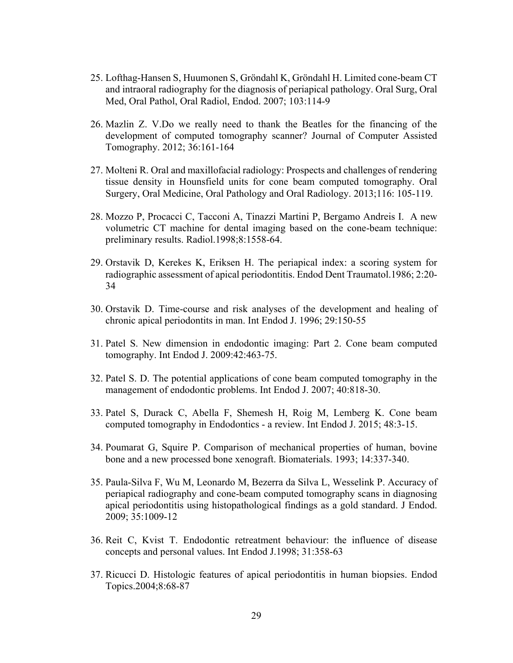- 25. Lofthag-Hansen S, Huumonen S, Gröndahl K, Gröndahl H. Limited cone-beam CT and intraoral radiography for the diagnosis of periapical pathology. Oral Surg, Oral Med, Oral Pathol, Oral Radiol, Endod. 2007; 103:114-9
- 26. Mazlin Z. V.Do we really need to thank the Beatles for the financing of the development of computed tomography scanner? Journal of Computer Assisted Tomography. 2012; 36:161-164
- 27. Molteni R. Oral and maxillofacial radiology: Prospects and challenges of rendering tissue density in Hounsfield units for cone beam computed tomography. Oral Surgery, Oral Medicine, Oral Pathology and Oral Radiology. 2013;116: 105-119.
- 28. Mozzo P, Procacci C, Tacconi A, Tinazzi Martini P, Bergamo Andreis I. A new volumetric CT machine for dental imaging based on the cone-beam technique: preliminary results. Radiol.1998;8:1558-64.
- 29. Orstavik D, Kerekes K, Eriksen H. The periapical index: a scoring system for radiographic assessment of apical periodontitis. Endod Dent Traumatol.1986; 2:20- 34
- 30. Orstavik D. Time-course and risk analyses of the development and healing of chronic apical periodontits in man. Int Endod J. 1996; 29:150-55
- 31. Patel S. New dimension in endodontic imaging: Part 2. Cone beam computed tomography. Int Endod J. 2009:42:463-75.
- 32. Patel S. D. The potential applications of cone beam computed tomography in the management of endodontic problems. Int Endod J. 2007; 40:818-30.
- 33. Patel S, Durack C, Abella F, Shemesh H, Roig M, Lemberg K. Cone beam computed tomography in Endodontics - a review. Int Endod J. 2015; 48:3-15.
- 34. Poumarat G, Squire P. Comparison of mechanical properties of human, bovine bone and a new processed bone xenograft. Biomaterials. 1993; 14:337-340.
- 35. Paula-Silva F, Wu M, Leonardo M, Bezerra da Silva L, Wesselink P. Accuracy of periapical radiography and cone-beam computed tomography scans in diagnosing apical periodontitis using histopathological findings as a gold standard. J Endod. 2009; 35:1009-12
- 36. Reit C, Kvist T. Endodontic retreatment behaviour: the influence of disease concepts and personal values. Int Endod J.1998; 31:358-63
- 37. Ricucci D. Histologic features of apical periodontitis in human biopsies. Endod Topics.2004;8:68-87